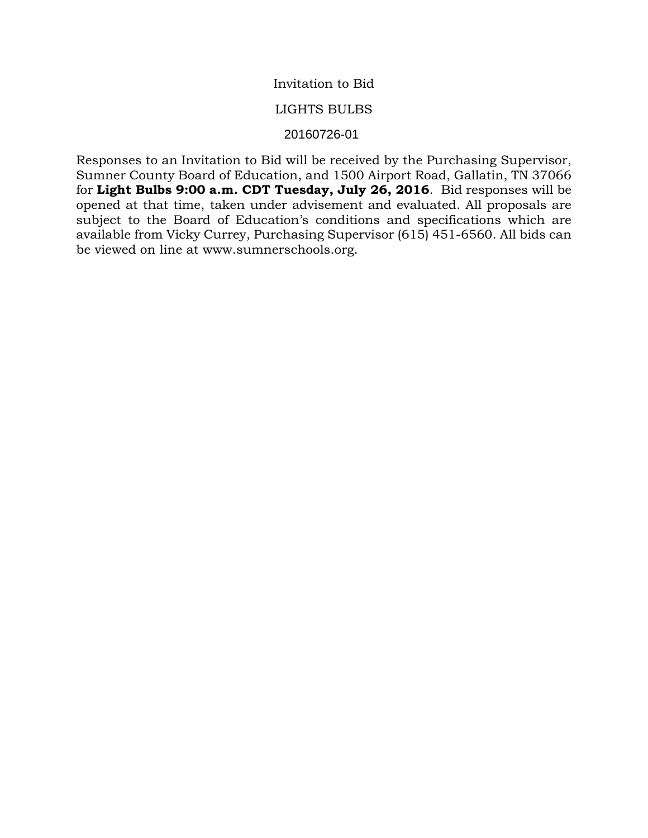## Invitation to Bid

### LIGHTS BULBS

## **20160726** 20160726-01

Responses to an Invitation to Bid will be received by the Purchasing Supervisor, Sumner County Board of Education, and 1500 Airport Road, Gallatin, TN 37066 for **Light Bulbs 9:00 a.m. CDT Tuesday, July 26, 2016**. Bid responses will be opened at that time, taken under advisement and evaluated. All proposals are subject to the Board of Education's conditions and specifications which are available from Vicky Currey, Purchasing Supervisor (615) 451-6560. All bids can be viewed on line at www.sumnerschools.org.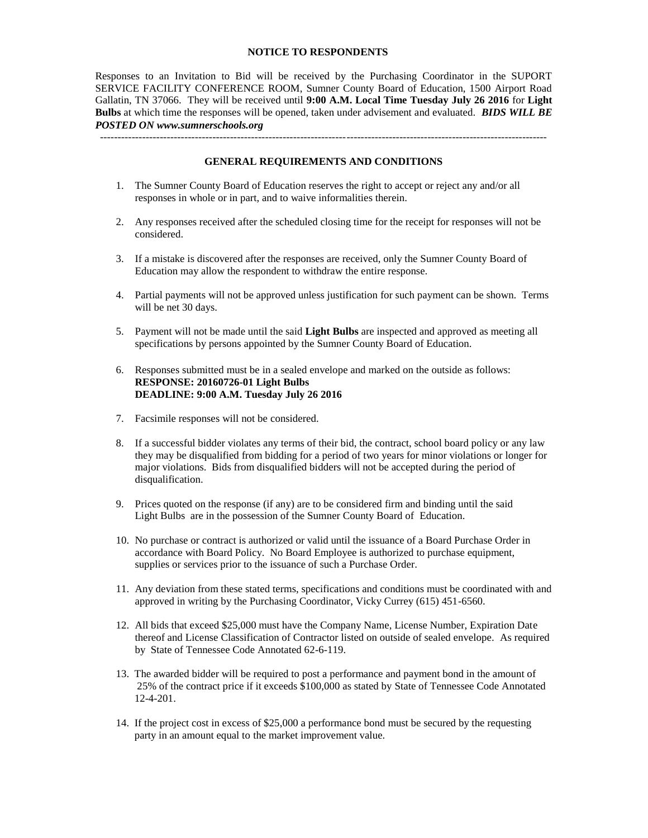#### **NOTICE TO RESPONDENTS**

Responses to an Invitation to Bid will be received by the Purchasing Coordinator in the SUPORT SERVICE FACILITY CONFERENCE ROOM, Sumner County Board of Education, 1500 Airport Road Gallatin, TN 37066. They will be received until **9:00 A.M. Local Time Tuesday July 26 2016** for **Light Bulbs** at which time the responses will be opened, taken under advisement and evaluated. *BIDS WILL BE POSTED ON www.sumnerschools.org*

**GENERAL REQUIREMENTS AND CONDITIONS**

-------------------------------------------------------------------------------------------------------------------------------

- 1. The Sumner County Board of Education reserves the right to accept or reject any and/or all responses in whole or in part, and to waive informalities therein.
- 2. Any responses received after the scheduled closing time for the receipt for responses will not be considered.
- 3. If a mistake is discovered after the responses are received, only the Sumner County Board of Education may allow the respondent to withdraw the entire response.
- 4. Partial payments will not be approved unless justification for such payment can be shown. Terms will be net 30 days.
- 5. Payment will not be made until the said **Light Bulbs** are inspected and approved as meeting all specifications by persons appointed by the Sumner County Board of Education.
- 6. Responses submitted must be in a sealed envelope and marked on the outside as follows: **RESPONSE: 20160726-01 Light Bulbs DEADLINE: 9:00 A.M. Tuesday July 26 2016**
- 7. Facsimile responses will not be considered.
- 8. If a successful bidder violates any terms of their bid, the contract, school board policy or any law they may be disqualified from bidding for a period of two years for minor violations or longer for major violations. Bids from disqualified bidders will not be accepted during the period of disqualification.
- 9. Prices quoted on the response (if any) are to be considered firm and binding until the said Light Bulbs are in the possession of the Sumner County Board of Education.
- 10. No purchase or contract is authorized or valid until the issuance of a Board Purchase Order in accordance with Board Policy. No Board Employee is authorized to purchase equipment, supplies or services prior to the issuance of such a Purchase Order.
- 11. Any deviation from these stated terms, specifications and conditions must be coordinated with and approved in writing by the Purchasing Coordinator, Vicky Currey (615) 451-6560.
- 12. All bids that exceed \$25,000 must have the Company Name, License Number, Expiration Date thereof and License Classification of Contractor listed on outside of sealed envelope. As required by State of Tennessee Code Annotated 62-6-119.
- 13. The awarded bidder will be required to post a performance and payment bond in the amount of 25% of the contract price if it exceeds \$100,000 as stated by State of Tennessee Code Annotated 12-4-201.
- 14. If the project cost in excess of \$25,000 a performance bond must be secured by the requesting party in an amount equal to the market improvement value.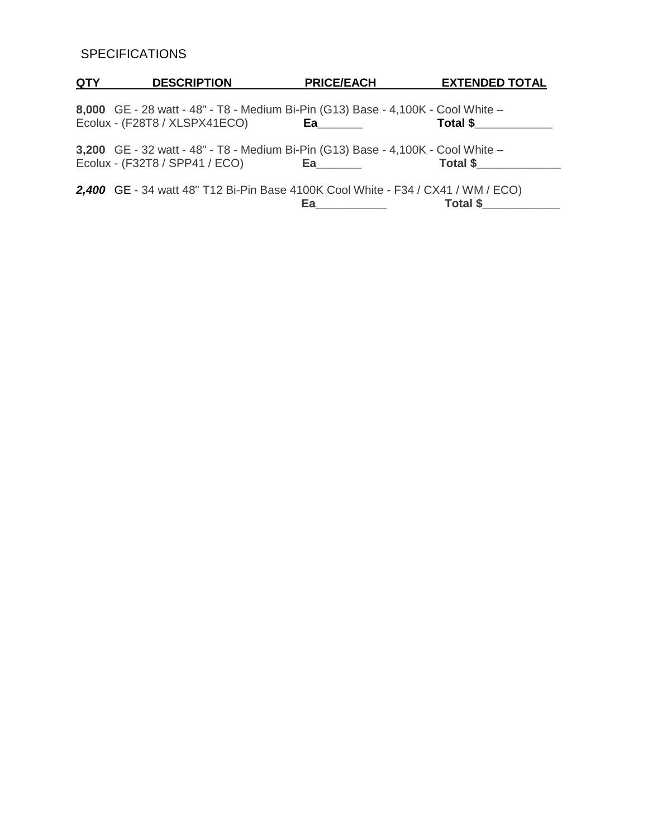# **SPECIFICATIONS**

| <b>QTY</b> | <b>DESCRIPTION</b>                                                                                                 | <b>PRICE/EACH</b>                                                                                                                                                                                                              | <b>EXTENDED TOTAL</b> |
|------------|--------------------------------------------------------------------------------------------------------------------|--------------------------------------------------------------------------------------------------------------------------------------------------------------------------------------------------------------------------------|-----------------------|
|            | 8,000 GE - 28 watt - 48" - T8 - Medium Bi-Pin (G13) Base - 4,100K - Cool White -<br>Ecolux - (F28T8 / XLSPX41ECO)  | Ea_______                                                                                                                                                                                                                      | Total \$              |
|            | 3,200 GE - 32 watt - 48" - T8 - Medium Bi-Pin (G13) Base - 4,100K - Cool White -<br>Ecolux - (F32T8 / SPP41 / ECO) | Ea and the state of the state of the state of the state of the state of the state of the state of the state of the state of the state of the state of the state of the state of the state of the state of the state of the sta | Total \$              |
|            | 2,400 GE - 34 watt 48" T12 Bi-Pin Base 4100K Cool White - F34 / CX41 / WM / ECO)                                   | Ea ______                                                                                                                                                                                                                      |                       |